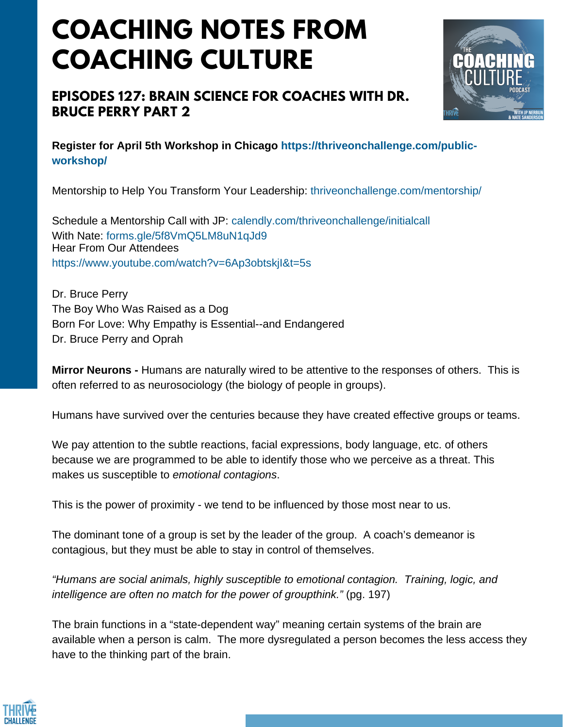# **COACHING NOTES FROM COACHING CULTURE**

### **EPISODES 127: BRAIN SCIENCE FOR COACHES WITH DR. BRUCE PERRY PART 2**



**Register for April 5th Workshop in Chicago https://thriveonchallenge.com/publicworkshop/**

Mentorship to Help You Transform Your Leadership: thriveonchallenge.com/mentorship/

Schedule a Mentorship Call with JP: calendly.com/thriveonchallenge/initialcall With Nate: forms.gle/5f8VmO5LM8uN1qJd9 Hear From Our Attendees https://www.youtube.com/watch?v=6Ap3obtskjI&t=5s

Dr. Bruce Perry The Boy Who Was Raised as a Dog Born For Love: Why Empathy is Essential--and Endangered Dr. Bruce Perry and Oprah

**Mirror Neurons -** Humans are naturally wired to be attentive to the responses of others. This is often referred to as neurosociology (the biology of people in groups).

Humans have survived over the centuries because they have created effective groups or teams.

We pay attention to the subtle reactions, facial expressions, body language, etc. of others because we are programmed to be able to identify those who we perceive as a threat. This makes us susceptible to *emotional contagions*.

This is the power of proximity - we tend to be influenced by those most near to us.

The dominant tone of a group is set by the leader of the group. A coach's demeanor is contagious, but they must be able to stay in control of themselves.

*"Humans are social animals, highly susceptible to emotional contagion. Training, logic, and intelligence are often no match for the power of groupthink."* (pg. 197)

The brain functions in a "state-dependent way" meaning certain systems of the brain are available when a person is calm. The more dysregulated a person becomes the less access they have to the thinking part of the brain.